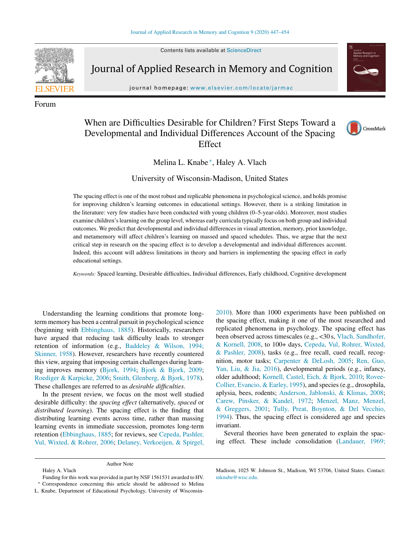Contents lists available at [ScienceDirect](http://www.sciencedirect.com/science/journal/22113681)



Forum

Journal of Applied Research in Memory and Cognition



journal homepage: [www.elsevier.com/locate/jarmac](http://www.elsevier.com/locate/jarmac)

# When are Difficulties Desirable for Children? First Steps Toward a Developmental and Individual Differences Account of the Spacing Effect



Melina L. Knabe <sup>∗</sup>, Haley A. Vlach

University of Wisconsin-Madison, United States

The spacing effect is one of the most robust and replicable phenomena in psychological science, and holds promise for improving children's learning outcomes in educational settings. However, there is a striking limitation in the literature: very few studies have been conducted with young children (0–5-year-olds). Moreover, most studies examine children'slearning on the group level, whereas early curricula typically focus on both group and individual outcomes. We predict that developmental and individual differences in visual attention, memory, prior knowledge, and metamemory will affect children's learning on massed and spaced schedules. Thus, we argue that the next critical step in research on the spacing effect is to develop a developmental and individual differences account. Indeed, this account will address limitations in theory and barriers in implementing the spacing effect in early educational settings.

*Keywords:* Spaced learning, Desirable difficulties, Individual differences, Early childhood, Cognitive development

Understanding the learning conditions that promote longterm memory has been a central pursuit in psychological science (beginning with [Ebbinghaus,](#page-5-0) [1885\).](#page-5-0) Historically, researchers have argued that reducing task difficulty leads to stronger retention of information (e.g., [Baddeley](#page-4-0) [&](#page-4-0) [Wilson,](#page-4-0) [1994;](#page-4-0) [Skinner,](#page-4-0) [1958\).](#page-4-0) However, researchers have recently countered this view, arguing that imposing certain challenges during learning improves memory [\(Bjork,](#page-4-0) [1994;](#page-4-0) [Bjork](#page-4-0) [&](#page-4-0) [Bjork,](#page-4-0) [2009;](#page-4-0) [Roediger](#page-6-0) [&](#page-6-0) [Karpicke,](#page-6-0) [2006;](#page-6-0) [Smith,](#page-6-0) [Glenberg,](#page-6-0) [&](#page-6-0) [Bjork,](#page-6-0) [1978\).](#page-6-0) These challenges are referred to as *desirable difficulties*.

In the present review, we focus on the most well studied desirable difficulty: the *spacing effect* (alternatively, *spaced* or *distributed learning*). The spacing effect is the finding that distributing learning events across time, rather than massing learning events in immediate succession, promotes long-term retention [\(Ebbinghaus,](#page-5-0) [1885;](#page-5-0) for reviews, see [Cepeda,](#page-5-0) [Pashler,](#page-5-0) [Vul,](#page-5-0) [Wixted,](#page-5-0) [&](#page-5-0) [Rohrer,](#page-5-0) [2006;](#page-5-0) [Delaney,](#page-5-0) [Verkoeijen,](#page-5-0) [&](#page-5-0) [Spirgel,](#page-5-0)

[2010\).](#page-5-0) More than 1000 experiments have been published on the spacing effect, making it one of the most researched and replicated phenomena in psychology. The spacing effect has been observed across timescales (e.g., <30 s, [Vlach,](#page-6-0) [Sandhofer,](#page-6-0) [&](#page-6-0) [Kornell,](#page-6-0) [2008,](#page-6-0) to 100+ days, [Cepeda,](#page-5-0) [Vul,](#page-5-0) [Rohrer,](#page-5-0) [Wixted,](#page-5-0) [&](#page-5-0) [Pashler,](#page-5-0) [2008\),](#page-5-0) tasks (e.g., free recall, cued recall, recognition, motor tasks; [Carpenter](#page-5-0) [&](#page-5-0) [DeLosh,](#page-5-0) [2005;](#page-5-0) [Ren,](#page-6-0) [Guo,](#page-6-0) [Yan,](#page-6-0) [Liu,](#page-6-0) [&](#page-6-0) [Jia,](#page-6-0) [2016\),](#page-6-0) developmental periods (e.g., infancy, older adulthood; [Kornell,](#page-5-0) [Castel,](#page-5-0) [Eich,](#page-5-0) [&](#page-5-0) [Bjork,](#page-5-0) [2010;](#page-5-0) [Rovee-](#page-6-0)Collier, [Evancio,](#page-6-0) [&](#page-6-0) [Earley,](#page-6-0) [1995\),](#page-6-0) and species (e.g., drosophila, aplysia, bees, rodents; [Anderson,](#page-4-0) [Jablonski,](#page-4-0) [&](#page-4-0) [Klimas,](#page-4-0) [2008;](#page-4-0) [Carew,](#page-5-0) [Pinsker,](#page-5-0) [&](#page-5-0) [Kandel,](#page-5-0) [1972;](#page-5-0) [Menzel,](#page-6-0) [Manz,](#page-6-0) [Menzel,](#page-6-0) [&](#page-6-0) [Greggers,](#page-6-0) [2001;](#page-6-0) [Tully,](#page-6-0) [Preat,](#page-6-0) [Boynton,](#page-6-0) [&](#page-6-0) [Del](#page-6-0) [Vecchio,](#page-6-0) [1994\).](#page-6-0) Thus, the spacing effect is considered age and species invariant.

Several theories have been generated to explain the spacing effect. These include consolidation ([Landauer,](#page-6-0) [1969;](#page-6-0)

Funding for this work was provided in part by NSF 1561531 awarded to HV. Correspondence concerning this article should be addressed to Melina

L. Knabe, Department of Educational Psychology, University of Wisconsin-

Author Note

Haley A. Vlach

Madison, 1025 W. Johnson St., Madison, WI 53706, United States. Contact: [mknabe@wisc.edu](mailto:mknabe@wisc.edu).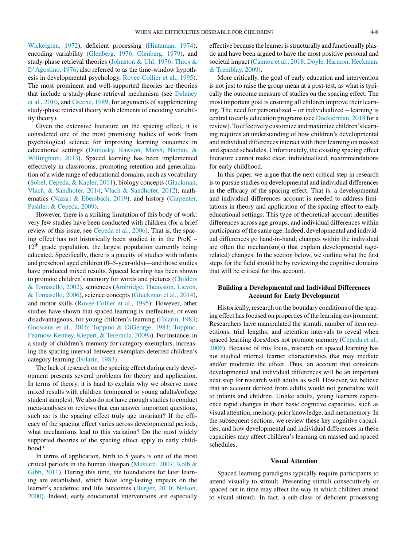[Wickelgren,](#page-6-0) [1972\),](#page-6-0) deficient processing ([Hintzman,](#page-5-0) [1974\),](#page-5-0) encoding variability [\(Glenberg,](#page-5-0) [1976;](#page-5-0) [Glenberg,](#page-5-0) [1979\),](#page-5-0) and study-phase retrieval theories [\(Johnston](#page-5-0) [&](#page-5-0) [Uhl,](#page-5-0) [1976;](#page-5-0) [Thios](#page-5-0) [&](#page-5-0) [D'Agostino,](#page-5-0) [1976;](#page-5-0) also referred to as the time-window hypothesis in developmental psychology, [Rovee-Collier](#page-6-0) et [al.,](#page-6-0) [1995\).](#page-6-0) The most prominent and well-supported theories are theories that include a study-phase retrieval mechanism (see [Delaney](#page-5-0) et [al.,](#page-5-0) [2010,](#page-5-0) and [Greene,](#page-5-0) [1989,](#page-5-0) for arguments of supplementing study-phase retrieval theory with elements of encoding variability theory).

Given the extensive literature on the spacing effect, it is considered one of the most promising bodies of work from psychological science for improving learning outcomes in educational settings [\(Dunlosky,](#page-5-0) [Rawson,](#page-5-0) [Marsh,](#page-5-0) [Nathan,](#page-5-0) [&](#page-5-0) [Willingham,](#page-5-0) [2013\).](#page-5-0) Spaced learning has been implemented effectively in classrooms, promoting retention and generalization of a wide range of educational domains, such as vocabulary [\(Sobel,](#page-6-0) [Cepeda,](#page-6-0) [&](#page-6-0) [Kapler,](#page-6-0) [2011\),](#page-6-0) biology concepts ([Gluckman,](#page-5-0) [Vlach,](#page-5-0) [&](#page-5-0) [Sandhofer,](#page-5-0) [2014;](#page-5-0) [Vlach](#page-6-0) [&](#page-6-0) [Sandhofer,](#page-6-0) [2012\),](#page-6-0) mathematics [\(Nazari](#page-6-0) [&](#page-6-0) [Ebersbach,](#page-6-0) [2019\),](#page-6-0) and history ([Carpenter,](#page-5-0) [Pashler,](#page-5-0) [&](#page-5-0) [Cepeda,](#page-5-0) [2009\).](#page-5-0)

However, there is a striking limitation of this body of work: very few studies have been conducted with children (for a brief review of this issue, see [Cepeda](#page-5-0) et [al.,](#page-5-0) [2006\).](#page-5-0) That is, the spacing effect has not historically been studied in in the PreK –  $12<sup>th</sup>$  grade population, the largest population currently being educated. Specifically, there is a paucity of studies with infants and preschool aged children (0–5-year-olds)—and those studies have produced mixed results. Spaced learning has been shown to promote children's memory for words and pictures [\(Childers](#page-5-0) [&](#page-5-0) [Tomasello,](#page-5-0) [2002\),](#page-5-0) sentences [\(Ambridge,](#page-4-0) [Theakston,](#page-4-0) [Lieven,](#page-4-0) [&](#page-4-0) [Tomasello,](#page-4-0) [2006\),](#page-4-0) science concepts ([Gluckman](#page-5-0) et [al.,](#page-5-0) [2014\),](#page-5-0) and motor skills [\(Rovee-Collier](#page-6-0) et [al.,](#page-6-0) [1995\).](#page-6-0) However, other studies have shown that spaced learning is ineffective, or even disadvantageous, for young children's learning [\(Folarin,](#page-5-0) [1983;](#page-5-0) [Goossens](#page-5-0) et [al.,](#page-5-0) [2016;](#page-5-0) [Toppino](#page-6-0) [&](#page-6-0) [DiGeorge,](#page-6-0) [1984;](#page-6-0) [Toppino,](#page-6-0) [Fearnow-Kenney,](#page-6-0) [Kiepert,](#page-6-0) [&](#page-6-0) [Teremula,](#page-6-0) [2009a\).](#page-6-0) For instance, in a study of children's memory for category exemplars, increasing the spacing interval between exemplars deterred children's category learning [\(Folarin,](#page-5-0) [1983\).](#page-5-0)

The lack of research on the spacing effect during early development presents several problems for theory and application. In terms of theory, it is hard to explain why we observe more mixed results with children (compared to young adults/college student samples). We also do not have enough studies to conduct meta-analyses or reviews that can answer important questions, such as: is the spacing effect truly age invariant? If the efficacy of the spacing effect varies across developmental periods, what mechanisms lead to this variation? Do the most widely supported theories of the spacing effect apply to early childhood?

In terms of application, birth to 5 years is one of the most critical periods in the human lifespan [\(Mustard,](#page-6-0) [2007;](#page-6-0) [Kolb](#page-6-0) [&](#page-6-0) [Gibb,](#page-6-0) [2011\).](#page-6-0) During this time, the foundations for later learning are established, which have long-lasting impacts on the learner's academic and life outcomes [\(Burger,](#page-4-0) [2010;](#page-4-0) [Nelson,](#page-4-0) [2000\).](#page-4-0) Indeed, early educational interventions are especially

effective because the learner is structurally and functionally plastic and have been argued to have the most positive personal and societal impact [\(Cannon](#page-5-0) et [al.,](#page-5-0) [2018;](#page-5-0) [Doyle,](#page-5-0) [Harmon,](#page-5-0) [Heckman,](#page-5-0) [&](#page-5-0) [Tremblay,](#page-5-0) [2009\).](#page-5-0)

More critically, the goal of early education and intervention is not just to raise the group mean at a post-test, as what is typically the outcome measure of studies on the spacing effect. The most important goal is ensuring all children improve their learning. The need for personalized – or individualized – learning is central to early education programs(see [Dockterman,](#page-5-0) [2018](#page-5-0) for a review). To effectively customize and maximize children's learning requires an understanding of how children's developmental and individual differences interact with their learning on massed and spaced schedules. Unfortunately, the existing spacing effect literature cannot make clear, individualized, recommendations for early childhood.

In this paper, we argue that the next critical step in research is to pursue studies on developmental and individual differences in the efficacy of the spacing effect. That is, a developmental and individual differences account is needed to address limitations in theory and application of the spacing effect to early educational settings. This type of theoretical account identifies differences across age groups, and individual differences within participants of the same age. Indeed, developmental and individual differences go hand-in-hand; changes within the individual are often the mechanism(s) that explain developmental (agerelated) changes. In the section below, we outline what the first steps for the field should be by reviewing the cognitive domains that will be critical for this account.

## **Building a Developmental and Individual Differences Account for Early Development**

Historically, research on the boundary conditions of the spacing effect has focused on properties of the learning environment. Researchers have manipulated the stimuli, number of item repetitions, trial lengths, and retention intervals to reveal when spaced learning does/does not promote memory ([Cepeda](#page-5-0) et [al.,](#page-5-0) [2006\).](#page-5-0) Because of this focus, research on spaced learning has not studied internal learner characteristics that may mediate and/or moderate the effect. Thus, an account that considers developmental and individual differences will be an important next step for research with adults as well. However, we believe that an account derived from adults would not generalize well to infants and children. Unlike adults, young learners experience rapid changes in their basic cognitive capacities, such as visual attention, memory, prior knowledge, and metamemory. In the subsequent sections, we review these key cognitive capacities, and how developmental and individual differences in these capacities may affect children's learning on massed and spaced schedules.

#### **Visual Attention**

Spaced learning paradigms typically require participants to attend visually to stimuli. Presenting stimuli consecutively or spaced out in time may affect the way in which children attend to visual stimuli. In fact, a sub-class of deficient processing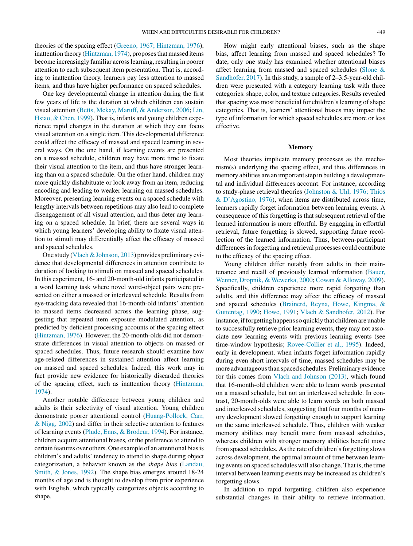theories of the spacing effect ([Greeno,](#page-5-0) [1967;](#page-5-0) [Hintzman,](#page-5-0) [1976\),](#page-5-0) inattention theory [\(Hintzman,](#page-5-0) [1974\),](#page-5-0) proposes that massed items become increasingly familiar across learning, resulting in poorer attention to each subsequent item presentation. That is, according to inattention theory, learners pay less attention to massed items, and thus have higher performance on spaced schedules.

One key developmental change in attention during the first few years of life is the duration at which children can sustain visual attention [\(Betts,](#page-4-0) [Mckay,](#page-4-0) [Maruff,](#page-4-0) [&](#page-4-0) [Anderson,](#page-4-0) [2006;](#page-4-0) [Lin,](#page-6-0) [Hsiao,](#page-6-0) [&](#page-6-0) [Chen,](#page-6-0) [1999\).](#page-6-0) That is, infants and young children experience rapid changes in the duration at which they can focus visual attention on a single item. This developmental difference could affect the efficacy of massed and spaced learning in several ways. On the one hand, if learning events are presented on a massed schedule, children may have more time to fixate their visual attention to the item, and thus have stronger learning than on a spaced schedule. On the other hand, children may more quickly dishabituate or look away from an item, reducing encoding and leading to weaker learning on massed schedules. Moreover, presenting learning events on a spaced schedule with lengthy intervals between repetitions may also lead to complete disengagement of all visual attention, and thus deter any learning on a spaced schedule. In brief, there are several ways in which young learners' developing ability to fixate visual attention to stimuli may differentially affect the efficacy of massed and spaced schedules.

One study [\(Vlach&Johnson,](#page-6-0) [2013\)](#page-6-0) provides preliminary evidence that developmental differences in attention contribute to duration of looking to stimuli on massed and spaced schedules. In this experiment, 16- and 20-month-old infants participated in a word learning task where novel word-object pairs were presented on either a massed or interleaved schedule. Results from eye-tracking data revealed that 16-month-old infants' attention to massed items decreased across the learning phase, suggesting that repeated item exposure modulated attention, as predicted by deficient processing accounts of the spacing effect [\(Hintzman,](#page-5-0) [1976\).](#page-5-0) However, the 20-month-olds did not demonstrate differences in visual attention to objects on massed or spaced schedules. Thus, future research should examine how age-related differences in sustained attention affect learning on massed and spaced schedules. Indeed, this work may in fact provide new evidence for historically discarded theories of the spacing effect, such as inattention theory [\(Hintzman,](#page-5-0) [1974\).](#page-5-0)

Another notable difference between young children and adults is their selectivity of visual attention. Young children demonstrate poorer attentional control [\(Huang-Pollock,](#page-5-0) [Carr,](#page-5-0) [&](#page-5-0) [Nigg,](#page-5-0) [2002\)](#page-5-0) and differ in their selective attention to features of learning events([Plude,](#page-6-0) [Enns,](#page-6-0) [&](#page-6-0) [Brodeur,](#page-6-0) [1994\).](#page-6-0) For instance, children acquire attentional biases*,* or the preference to attend to certain features over others. One example of an attentional biasis children's and adults' tendency to attend to shape during object categorization, a behavior known as the *shape bias* [\(Landau,](#page-5-0) [Smith,](#page-5-0) [&](#page-5-0) [Jones,](#page-5-0) [1992\).](#page-5-0) The shape bias emerges around 18-24 months of age and is thought to develop from prior experience with English, which typically categorizes objects according to shape.

How might early attentional biases, such as the shape bias, affect learning from massed and spaced schedules? To date, only one study has examined whether attentional biases affect learning from massed and spaced schedules [\(Slone](#page-6-0) [&](#page-6-0) [Sandhofer,](#page-6-0) [2017\).](#page-6-0) In this study, a sample of 2–3.5-year-old children were presented with a category learning task with three categories: shape, color, and texture categories. Results revealed that spacing was most beneficial for children's learning of shape categories. That is, learners' attentional biases may impact the type of information for which spaced schedules are more or less effective.

#### **Memory**

Most theories implicate memory processes as the mechanism(s) underlying the spacing effect, and thus differences in memory abilities are an important step in building a developmental and individual differences account. For instance, according to study-phase retrieval theories ([Johnston](#page-5-0) [&](#page-5-0) [Uhl,](#page-5-0) [1976;](#page-5-0) [Thios](#page-5-0) [&](#page-5-0) [D'Agostino,](#page-5-0) [1976\),](#page-5-0) when items are distributed across time, learners rapidly forget information between learning events. A consequence of this forgetting is that subsequent retrieval of the learned information is more effortful. By engaging in effortful retrieval, future forgetting is slowed, supporting future recollection of the learned information. Thus, between-participant differences in forgetting and retrieval processes could contribute to the efficacy of the spacing effect.

Young children differ notably from adults in their maintenance and recall of previously learned information ([Bauer,](#page-4-0) [Wenner,](#page-4-0) [Dropnik,](#page-4-0) [&](#page-4-0) [Wewerka,](#page-4-0) [2000;](#page-4-0) [Cowan](#page-5-0) [&](#page-5-0) [Alloway,](#page-5-0) [2009\).](#page-5-0) Specifically, children experience more rapid forgetting than adults, and this difference may affect the efficacy of massed and spaced schedules ([Brainerd,](#page-4-0) [Reyna,](#page-4-0) [Howe,](#page-4-0) [Kingma,](#page-4-0) [&](#page-4-0) [Guttentag,](#page-4-0) [1990;](#page-4-0) [Howe,](#page-5-0) [1991;](#page-5-0) [Vlach](#page-6-0) [&](#page-6-0) [Sandhofer,](#page-6-0) [2012\).](#page-6-0) For instance, if forgetting happens so quickly that children are unable to successfully retrieve prior learning events, they may not associate new learning events with previous learning events (see time-window hypothesis; [Rovee-Collier](#page-6-0) et [al.,](#page-6-0) [1995\).](#page-6-0) Indeed, early in development, when infants forget information rapidly during even short intervals of time, massed schedules may be more advantageous than spaced schedules. Preliminary evidence for this comes from [Vlach](#page-6-0) [and](#page-6-0) [Johnson](#page-6-0) [\(2013\),](#page-6-0) which found that 16-month-old children were able to learn words presented on a massed schedule, but not an interleaved schedule. In contrast, 20-month-olds were able to learn words on both massed and interleaved schedules, suggesting that four months of memory development slowed forgetting enough to support learning on the same interleaved schedule. Thus, children with weaker memory abilities may benefit more from massed schedules, whereas children with stronger memory abilities benefit more from spaced schedules. As the rate of children's forgetting slows across development, the optimal amount of time between learning events on spaced schedules will also change. That is, the time interval between learning events may be increased as children's forgetting slows.

In addition to rapid forgetting, children also experience substantial changes in their ability to retrieve information.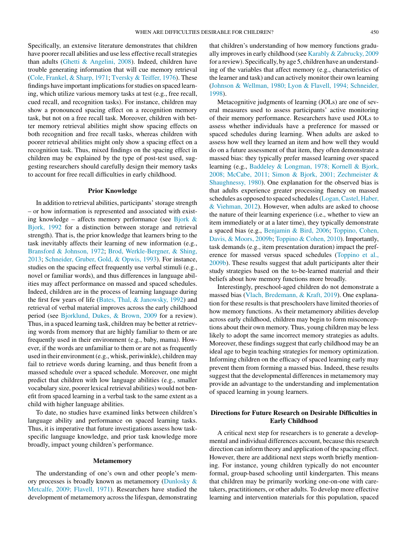Specifically, an extensive literature demonstrates that children have poorer recall abilities and use less effective recall strategies than adults ([Ghetti](#page-5-0) [&](#page-5-0) [Angelini,](#page-5-0) [2008\).](#page-5-0) Indeed, children have trouble generating information that will cue memory retrieval [\(Cole,](#page-5-0) [Frankel,](#page-5-0) [&](#page-5-0) [Sharp,](#page-5-0) [1971;](#page-5-0) [Tversky](#page-6-0) [&](#page-6-0) [Teiffer,](#page-6-0) [1976\).](#page-6-0) These findings have important implications for studies on spaced learning, which utilize various memory tasks at test (e.g., free recall, cued recall, and recognition tasks). For instance, children may show a pronounced spacing effect on a recognition memory task, but not on a free recall task. Moreover, children with better memory retrieval abilities might show spacing effects on both recognition and free recall tasks, whereas children with poorer retrieval abilities might only show a spacing effect on a recognition task. Thus, mixed findings on the spacing effect in children may be explained by the type of post-test used, suggesting researchers should carefully design their memory tasks to account for free recall difficulties in early childhood.

### **Prior Knowledge**

In addition to retrieval abilities, participants' storage strength – or how information is represented and associated with exist-ing knowledge – affects memory performance (see [Bjork](#page-4-0)  $\&$  $\&$ [Bjork,](#page-4-0) [1992](#page-4-0) for a distinction between storage and retrieval strength). That is, the prior knowledge that learners bring to the task inevitably affects their learning of new information (e.g., [Bransford](#page-4-0) [&](#page-4-0) [Johnson,](#page-4-0) [1972;](#page-4-0) [Brod,](#page-4-0) [Werkle-Bergner,](#page-4-0) [&](#page-4-0) [Shing,](#page-4-0) [2013;](#page-4-0) [Schneider,](#page-6-0) [Gruber,](#page-6-0) [Gold,](#page-6-0) [&](#page-6-0) [Opwis,](#page-6-0) [1993\).](#page-6-0) For instance, studies on the spacing effect frequently use verbal stimuli (e.g., novel or familiar words), and thus differences in language abilities may affect performance on massed and spaced schedules. Indeed, children are in the process of learning language during the first few years of life [\(Bates,](#page-4-0) [Thal,](#page-4-0) [&](#page-4-0) [Janowsky,](#page-4-0) [1992\)](#page-4-0) and retrieval of verbal material improves across the early childhood period (see [Bjorklund,](#page-4-0) [Dukes,](#page-4-0) [&](#page-4-0) [Brown,](#page-4-0) [2009](#page-4-0) for a review). Thus, in a spaced learning task, children may be better at retrieving words from memory that are highly familiar to them or are frequently used in their environment (e.g., baby, mama). However, if the words are unfamiliar to them or are not as frequently used in their environment (e.g., whisk, periwinkle), children may fail to retrieve words during learning, and thus benefit from a massed schedule over a spaced schedule. Moreover, one might predict that children with low language abilities (e.g., smaller vocabulary size, poorer lexical retrieval abilities) would not benefit from spaced learning in a verbal task to the same extent as a child with higher language abilities.

To date, no studies have examined links between children's language ability and performance on spaced learning tasks. Thus, it is imperative that future investigations assess how taskspecific language knowledge, and prior task knowledge more broadly, impact young children's performance.

#### **Metamemory**

The understanding of one's own and other people's memory processes is broadly known as metamemory [\(Dunlosky](#page-5-0) [&](#page-5-0) [Metcalfe,](#page-5-0) [2009;](#page-5-0) [Flavell,](#page-5-0) [1971\).](#page-5-0) Researchers have studied the development of metamemory across the lifespan, demonstrating that children's understanding of how memory functions gradu-ally improves in early childhood (see [Karably](#page-5-0) [&](#page-5-0) [Zabrucky,](#page-5-0) [2009](#page-5-0)) for a review). Specifically, by age 5, children have an understanding of the variables that affect memory (e.g., characteristics of the learner and task) and can actively monitor their own learning [\(Johnson](#page-5-0) [&](#page-5-0) [Wellman,](#page-5-0) [1980;](#page-5-0) [Lyon](#page-5-0) [&](#page-5-0) [Flavell,](#page-5-0) [1994;](#page-5-0) [Schneider,](#page-5-0) [1998\).](#page-5-0)

Metacognitive judgments of learning (JOLs) are one of several measures used to assess participants' active monitoring of their memory performance. Researchers have used JOLs to assess whether individuals have a preference for massed or spaced schedules during learning. When adults are asked to assess how well they learned an item and how well they would do on a future assessment of that item, they often demonstrate a massed bias: they typically prefer massed learning over spaced learning (e.g., [Baddeley](#page-4-0) [&](#page-4-0) [Longman,](#page-4-0) [1978;](#page-4-0) [Kornell](#page-4-0) [&](#page-4-0) [Bjork,](#page-4-0) [2008;](#page-4-0) [McCabe,](#page-4-0) [2011;](#page-4-0) [Simon](#page-4-0) [&](#page-4-0) [Bjork,](#page-4-0) [2001;](#page-4-0) [Zechmeister](#page-4-0) [&](#page-4-0) [Shaughnessy,](#page-4-0) [1980\).](#page-4-0) One explanation for the observed bias is that adults experience greater processing fluency on massed schedules as opposed to spaced schedules (Logan, Castel, [Haber,](#page-6-0) [&](#page-6-0) [Viehman,](#page-6-0) [2012\).](#page-6-0) However, when adults are asked to choose the nature of their learning experience (i.e., whether to view an item immediately or at a later time), they typically demonstrate a spaced bias (e.g., [Benjamin](#page-4-0) [&](#page-4-0) [Bird,](#page-4-0) [2006;](#page-4-0) [Toppino,](#page-6-0) [Cohen,](#page-6-0) [Davis,](#page-6-0) [&](#page-6-0) [Moors,](#page-6-0) [2009b;](#page-6-0) [Toppino](#page-6-0) [&](#page-6-0) [Cohen,](#page-6-0) [2010\).](#page-6-0) Importantly, task demands (e.g., item presentation duration) impact the preference for massed versus spaced schedules [\(Toppino](#page-6-0) et [al.,](#page-6-0) [2009b\).](#page-6-0) These results suggest that adult participants alter their study strategies based on the to-be-learned material and their beliefs about how memory functions more broadly.

Interestingly, preschool-aged children do not demonstrate a massed bias ([Vlach,](#page-7-0) [Bredemann,](#page-7-0) [&](#page-7-0) [Kraft,](#page-7-0) [2019\).](#page-7-0) One explanation for these results is that preschoolers have limited theories of how memory functions. As their metamemory abilities develop across early childhood, children may begin to form misconceptions about their own memory. Thus, young children may be less likely to adopt the same incorrect memory strategies as adults. Moreover, these findings suggest that early childhood may be an ideal age to begin teaching strategies for memory optimization. Informing children on the efficacy of spaced learning early may prevent them from forming a massed bias. Indeed, these results suggest that the developmental differences in metamemory may provide an advantage to the understanding and implementation of spaced learning in young learners.

# **Directions for Future Research on Desirable Difficulties in Early Childhood**

A critical next step for researchers is to generate a developmental and individual differences account, because this research direction can inform theory and application of the spacing effect. However, there are additional next steps worth briefly mentioning. For instance, young children typically do not encounter formal, group-based schooling until kindergarten. This means that children may be primarily working one-on-one with caretakers, practititioners, or other adults. To develop more effective learning and intervention materials for this population, spaced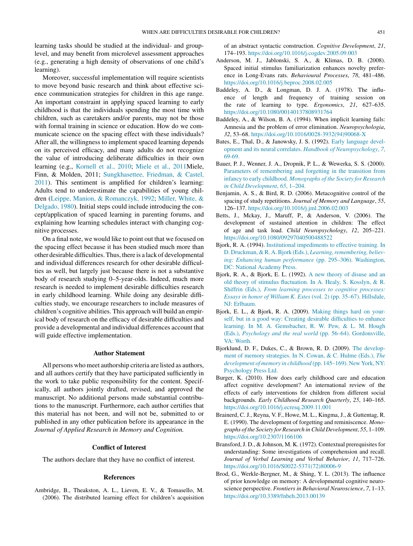<span id="page-4-0"></span>learning tasks should be studied at the individual- and grouplevel, and may benefit from microlevel assessment approaches (e.g., generating a high density of observations of one child's learning).

Moreover, successful implementation will require scientists to move beyond basic research and think about effective science communication strategies for children in this age range. An important constraint in applying spaced learning to early childhood is that the individuals spending the most time with children, such as caretakers and/or parents, may not be those with formal training in science or education. How do we communicate science on the spacing effect with these individuals? After all, the willingness to implement spaced learning depends on its perceived efficacy, and many adults do not recognize the value of introducing deliberate difficulties in their own learning (e.g., [Kornell](#page-5-0) et [al.,](#page-5-0) [2010;](#page-5-0) [Miele](#page-6-0) et [al.,](#page-6-0) [2011M](#page-6-0)iele, Finn, & Molden, 2011; [Sungkhasettee,](#page-6-0) [Friedman,](#page-6-0) [&](#page-6-0) [Castel,](#page-6-0) [2011\).](#page-6-0) This sentiment is amplified for children's learning: Adults tend to underestimate the capabilities of young children ([Leippe,](#page-6-0) [Manion,](#page-6-0) [&](#page-6-0) [Romanczyk,](#page-6-0) [1992;](#page-6-0) [Miller,](#page-6-0) [White,](#page-6-0) [&](#page-6-0) [Delgado,](#page-6-0) [1980\).](#page-6-0) Initial steps could include introducing the concept/application of spaced learning in parenting forums, and explaining how learning schedules interact with changing cognitive processes.

On a final note, we would like to point out that we focused on the spacing effect because it has been studied much more than other desirable difficulties.Thus, there is a lack of developmental and individual differences research for other desirable difficulties as well, but largely just because there is not a substantive body of research studying 0–5-year-olds. Indeed, much more research is needed to implement desirable difficulties research in early childhood learning. While doing any desirable difficulties study, we encourage researchers to include measures of children's cognitive abilities. This approach will build an empirical body of research on the efficacy of desirable difficulties and provide a developmental and individual differences account that will guide effective implementation.

## **Author Statement**

All persons who meet authorship criteria are listed as authors, and all authors certify that they have participated sufficiently in the work to take public responsibility for the content. Specifically, all authors jointly drafted, revised, and approved the manuscript. No additional persons made substantial contributions to the manuscript. Furthermore, each author certifies that this material has not been, and will not be, submitted to or published in any other publication before its appearance in the *Journal of Applied Research in Memory and Cognition.*

#### **Conflict of Interest**

The authors declare that they have no conflict of interest.

#### **References**

Ambridge, B., Theakston, A. L., Lieven, E. V., & Tomasello, M. (2006). The distributed learning effect for children's acquisition of an abstract syntactic construction. *Cognitive Development*, *21*, 174–193. <https://doi.org/10.1016/j.cogdev.2005.09.003>

- Anderson, M. J., Jablonski, S. A., & Klimas, D. B. (2008). Spaced initial stimulus familiarization enhances novelty preference in Long-Evans rats. *Behavioural Processes*, *78*, 481–486. <https://doi.org/10.1016/j.beproc.2008.02.005>
- Baddeley, A. D., & Longman, D. J. A. (1978). The influence of length and frequency of training session on the rate of learning to type. *Ergonomics*, *21*, 627–635. <https://doi.org/10.1080/00140137808931764>
- Baddeley, A., & Wilson, B. A. (1994). When implicit learning fails: Amnesia and the problem of error elimination. *Neuropsychologia*, *32*, 53–68. [https://doi.org/10.1016/0028-3932\(94\)90068-X](https://doi.org/10.1016/0028-3932(94)90068-X)
- Bates, E., Thal, D., & Janowsky, J. S. (1992). [Early](http://refhub.elsevier.com/S2211-3681(20)30060-7/sbref0025) [language](http://refhub.elsevier.com/S2211-3681(20)30060-7/sbref0025) [devel](http://refhub.elsevier.com/S2211-3681(20)30060-7/sbref0025)[opment](http://refhub.elsevier.com/S2211-3681(20)30060-7/sbref0025) [and](http://refhub.elsevier.com/S2211-3681(20)30060-7/sbref0025) [its](http://refhub.elsevier.com/S2211-3681(20)30060-7/sbref0025) [neural](http://refhub.elsevier.com/S2211-3681(20)30060-7/sbref0025) [correlates.](http://refhub.elsevier.com/S2211-3681(20)30060-7/sbref0025) *[Handbook](http://refhub.elsevier.com/S2211-3681(20)30060-7/sbref0025) [of](http://refhub.elsevier.com/S2211-3681(20)30060-7/sbref0025) [Neuropsychology](http://refhub.elsevier.com/S2211-3681(20)30060-7/sbref0025)*[,](http://refhub.elsevier.com/S2211-3681(20)30060-7/sbref0025) *[7](http://refhub.elsevier.com/S2211-3681(20)30060-7/sbref0025)*[,](http://refhub.elsevier.com/S2211-3681(20)30060-7/sbref0025) [69-69.](http://refhub.elsevier.com/S2211-3681(20)30060-7/sbref0025)
- Bauer, P. J., Wenner, J. A., Dropnik, P. L., & Wewerka, S. S. (2000). [Parameters](http://refhub.elsevier.com/S2211-3681(20)30060-7/sbref0030) [of](http://refhub.elsevier.com/S2211-3681(20)30060-7/sbref0030) [remembering](http://refhub.elsevier.com/S2211-3681(20)30060-7/sbref0030) [and](http://refhub.elsevier.com/S2211-3681(20)30060-7/sbref0030) [forgetting](http://refhub.elsevier.com/S2211-3681(20)30060-7/sbref0030) [in](http://refhub.elsevier.com/S2211-3681(20)30060-7/sbref0030) [the](http://refhub.elsevier.com/S2211-3681(20)30060-7/sbref0030) [transition](http://refhub.elsevier.com/S2211-3681(20)30060-7/sbref0030) [from](http://refhub.elsevier.com/S2211-3681(20)30060-7/sbref0030) [infancy](http://refhub.elsevier.com/S2211-3681(20)30060-7/sbref0030) [to](http://refhub.elsevier.com/S2211-3681(20)30060-7/sbref0030) [early](http://refhub.elsevier.com/S2211-3681(20)30060-7/sbref0030) [childhood.](http://refhub.elsevier.com/S2211-3681(20)30060-7/sbref0030) *[Monographs](http://refhub.elsevier.com/S2211-3681(20)30060-7/sbref0030) [of](http://refhub.elsevier.com/S2211-3681(20)30060-7/sbref0030) [the](http://refhub.elsevier.com/S2211-3681(20)30060-7/sbref0030) [Society](http://refhub.elsevier.com/S2211-3681(20)30060-7/sbref0030) [for](http://refhub.elsevier.com/S2211-3681(20)30060-7/sbref0030) [Research](http://refhub.elsevier.com/S2211-3681(20)30060-7/sbref0030) [in](http://refhub.elsevier.com/S2211-3681(20)30060-7/sbref0030) [Child](http://refhub.elsevier.com/S2211-3681(20)30060-7/sbref0030) [Development](http://refhub.elsevier.com/S2211-3681(20)30060-7/sbref0030)*[,](http://refhub.elsevier.com/S2211-3681(20)30060-7/sbref0030) *[65](http://refhub.elsevier.com/S2211-3681(20)30060-7/sbref0030)*[,](http://refhub.elsevier.com/S2211-3681(20)30060-7/sbref0030) [1–204.](http://refhub.elsevier.com/S2211-3681(20)30060-7/sbref0030)
- Benjamin, A. S., & Bird, R. D. (2006). Metacognitive control of the spacing of study repetitions. *Journal of Memory and Language*, *55*, 126–137. <https://doi.org/10.1016/j.jml.2006.02.003>
- Betts, J., Mckay, J., Maruff, P., & Anderson, V. (2006). The development of sustained attention in children: The effect of age and task load. *Child Neuropsychology*, *12*, 205–221. <https://doi.org/10.1080/09297040500488522>
- Bjork, R. A. (1994). [Institutional](http://refhub.elsevier.com/S2211-3681(20)30060-7/sbref0045) [impediments](http://refhub.elsevier.com/S2211-3681(20)30060-7/sbref0045) [to](http://refhub.elsevier.com/S2211-3681(20)30060-7/sbref0045) [effective](http://refhub.elsevier.com/S2211-3681(20)30060-7/sbref0045) [training.](http://refhub.elsevier.com/S2211-3681(20)30060-7/sbref0045) [In](http://refhub.elsevier.com/S2211-3681(20)30060-7/sbref0045) [D.](http://refhub.elsevier.com/S2211-3681(20)30060-7/sbref0045) [Druckman,](http://refhub.elsevier.com/S2211-3681(20)30060-7/sbref0045) [&](http://refhub.elsevier.com/S2211-3681(20)30060-7/sbref0045) [R.](http://refhub.elsevier.com/S2211-3681(20)30060-7/sbref0045) A. Bjork [\(Eds.\),](http://refhub.elsevier.com/S2211-3681(20)30060-7/sbref0045) *Learning, remembering, [believ](http://refhub.elsevier.com/S2211-3681(20)30060-7/sbref0045)[ing:](http://refhub.elsevier.com/S2211-3681(20)30060-7/sbref0045) [Enhancing](http://refhub.elsevier.com/S2211-3681(20)30060-7/sbref0045) [human](http://refhub.elsevier.com/S2211-3681(20)30060-7/sbref0045) [performance](http://refhub.elsevier.com/S2211-3681(20)30060-7/sbref0045)* [\(pp.](http://refhub.elsevier.com/S2211-3681(20)30060-7/sbref0045) [295–306\).](http://refhub.elsevier.com/S2211-3681(20)30060-7/sbref0045) [Washington,](http://refhub.elsevier.com/S2211-3681(20)30060-7/sbref0045) [DC:](http://refhub.elsevier.com/S2211-3681(20)30060-7/sbref0045) [National](http://refhub.elsevier.com/S2211-3681(20)30060-7/sbref0045) [Academy](http://refhub.elsevier.com/S2211-3681(20)30060-7/sbref0045) [Press.](http://refhub.elsevier.com/S2211-3681(20)30060-7/sbref0045)
- Bjork, R. A., & Bjork, E. L. (1992). [A](http://refhub.elsevier.com/S2211-3681(20)30060-7/sbref0050) [new](http://refhub.elsevier.com/S2211-3681(20)30060-7/sbref0050) [theory](http://refhub.elsevier.com/S2211-3681(20)30060-7/sbref0050) [of](http://refhub.elsevier.com/S2211-3681(20)30060-7/sbref0050) [disuse](http://refhub.elsevier.com/S2211-3681(20)30060-7/sbref0050) [and](http://refhub.elsevier.com/S2211-3681(20)30060-7/sbref0050) [an](http://refhub.elsevier.com/S2211-3681(20)30060-7/sbref0050) [old](http://refhub.elsevier.com/S2211-3681(20)30060-7/sbref0050) [theory](http://refhub.elsevier.com/S2211-3681(20)30060-7/sbref0050) [of](http://refhub.elsevier.com/S2211-3681(20)30060-7/sbref0050) [stimulus](http://refhub.elsevier.com/S2211-3681(20)30060-7/sbref0050) [fluctuation.](http://refhub.elsevier.com/S2211-3681(20)30060-7/sbref0050) [In](http://refhub.elsevier.com/S2211-3681(20)30060-7/sbref0050) [A.](http://refhub.elsevier.com/S2211-3681(20)30060-7/sbref0050) [Healy,](http://refhub.elsevier.com/S2211-3681(20)30060-7/sbref0050) [S.](http://refhub.elsevier.com/S2211-3681(20)30060-7/sbref0050) [Kosslyn,](http://refhub.elsevier.com/S2211-3681(20)30060-7/sbref0050) [&](http://refhub.elsevier.com/S2211-3681(20)30060-7/sbref0050) [R.](http://refhub.elsevier.com/S2211-3681(20)30060-7/sbref0050) [Shiffrin](http://refhub.elsevier.com/S2211-3681(20)30060-7/sbref0050) [\(Eds.\),](http://refhub.elsevier.com/S2211-3681(20)30060-7/sbref0050) *[From](http://refhub.elsevier.com/S2211-3681(20)30060-7/sbref0050) [learning](http://refhub.elsevier.com/S2211-3681(20)30060-7/sbref0050) [processes](http://refhub.elsevier.com/S2211-3681(20)30060-7/sbref0050) [to](http://refhub.elsevier.com/S2211-3681(20)30060-7/sbref0050) [cognitive](http://refhub.elsevier.com/S2211-3681(20)30060-7/sbref0050) [processes:](http://refhub.elsevier.com/S2211-3681(20)30060-7/sbref0050) [Essays](http://refhub.elsevier.com/S2211-3681(20)30060-7/sbref0050) [in](http://refhub.elsevier.com/S2211-3681(20)30060-7/sbref0050) [honor](http://refhub.elsevier.com/S2211-3681(20)30060-7/sbref0050) [of](http://refhub.elsevier.com/S2211-3681(20)30060-7/sbref0050) [William](http://refhub.elsevier.com/S2211-3681(20)30060-7/sbref0050) [K.](http://refhub.elsevier.com/S2211-3681(20)30060-7/sbref0050) [Estes](http://refhub.elsevier.com/S2211-3681(20)30060-7/sbref0050)* [\(vol.](http://refhub.elsevier.com/S2211-3681(20)30060-7/sbref0050) [2\)](http://refhub.elsevier.com/S2211-3681(20)30060-7/sbref0050) [\(pp.](http://refhub.elsevier.com/S2211-3681(20)30060-7/sbref0050) [35](http://refhub.elsevier.com/S2211-3681(20)30060-7/sbref0050)–[67\).](http://refhub.elsevier.com/S2211-3681(20)30060-7/sbref0050) [Hillsdale,](http://refhub.elsevier.com/S2211-3681(20)30060-7/sbref0050) [NJ:](http://refhub.elsevier.com/S2211-3681(20)30060-7/sbref0050) [Erlbaum.](http://refhub.elsevier.com/S2211-3681(20)30060-7/sbref0050)
- Bjork, E. L., & Bjork, R. A. (2009). [Making](http://refhub.elsevier.com/S2211-3681(20)30060-7/sbref0055) [things](http://refhub.elsevier.com/S2211-3681(20)30060-7/sbref0055) [hard](http://refhub.elsevier.com/S2211-3681(20)30060-7/sbref0055) [on](http://refhub.elsevier.com/S2211-3681(20)30060-7/sbref0055) [your](http://refhub.elsevier.com/S2211-3681(20)30060-7/sbref0055)[self,](http://refhub.elsevier.com/S2211-3681(20)30060-7/sbref0055) [but](http://refhub.elsevier.com/S2211-3681(20)30060-7/sbref0055) [in](http://refhub.elsevier.com/S2211-3681(20)30060-7/sbref0055) [a](http://refhub.elsevier.com/S2211-3681(20)30060-7/sbref0055) [good](http://refhub.elsevier.com/S2211-3681(20)30060-7/sbref0055) [way:](http://refhub.elsevier.com/S2211-3681(20)30060-7/sbref0055) [Creating](http://refhub.elsevier.com/S2211-3681(20)30060-7/sbref0055) [desirable](http://refhub.elsevier.com/S2211-3681(20)30060-7/sbref0055) [difficulties](http://refhub.elsevier.com/S2211-3681(20)30060-7/sbref0055) [to](http://refhub.elsevier.com/S2211-3681(20)30060-7/sbref0055) [enhance](http://refhub.elsevier.com/S2211-3681(20)30060-7/sbref0055) [learning.](http://refhub.elsevier.com/S2211-3681(20)30060-7/sbref0055) [In](http://refhub.elsevier.com/S2211-3681(20)30060-7/sbref0055) [M.](http://refhub.elsevier.com/S2211-3681(20)30060-7/sbref0055) [A.](http://refhub.elsevier.com/S2211-3681(20)30060-7/sbref0055) [Gemsbacher,](http://refhub.elsevier.com/S2211-3681(20)30060-7/sbref0055) [R.](http://refhub.elsevier.com/S2211-3681(20)30060-7/sbref0055) [W.](http://refhub.elsevier.com/S2211-3681(20)30060-7/sbref0055) [Pew,](http://refhub.elsevier.com/S2211-3681(20)30060-7/sbref0055) [&](http://refhub.elsevier.com/S2211-3681(20)30060-7/sbref0055) [L.](http://refhub.elsevier.com/S2211-3681(20)30060-7/sbref0055) [M.](http://refhub.elsevier.com/S2211-3681(20)30060-7/sbref0055) [Hough](http://refhub.elsevier.com/S2211-3681(20)30060-7/sbref0055) [\(Eds.\),](http://refhub.elsevier.com/S2211-3681(20)30060-7/sbref0055) *[Psychology](http://refhub.elsevier.com/S2211-3681(20)30060-7/sbref0055) [and](http://refhub.elsevier.com/S2211-3681(20)30060-7/sbref0055) [the](http://refhub.elsevier.com/S2211-3681(20)30060-7/sbref0055) [real](http://refhub.elsevier.com/S2211-3681(20)30060-7/sbref0055) [world](http://refhub.elsevier.com/S2211-3681(20)30060-7/sbref0055)* [\(pp.](http://refhub.elsevier.com/S2211-3681(20)30060-7/sbref0055) [56](http://refhub.elsevier.com/S2211-3681(20)30060-7/sbref0055)–[64\).](http://refhub.elsevier.com/S2211-3681(20)30060-7/sbref0055) [Gordonsville,](http://refhub.elsevier.com/S2211-3681(20)30060-7/sbref0055) [VA:](http://refhub.elsevier.com/S2211-3681(20)30060-7/sbref0055) [Worth.](http://refhub.elsevier.com/S2211-3681(20)30060-7/sbref0055)
- Bjorklund, D. F., Dukes, C., & Brown, R. D. (2009). [The](http://refhub.elsevier.com/S2211-3681(20)30060-7/sbref0060) [develop](http://refhub.elsevier.com/S2211-3681(20)30060-7/sbref0060)[ment](http://refhub.elsevier.com/S2211-3681(20)30060-7/sbref0060) [of](http://refhub.elsevier.com/S2211-3681(20)30060-7/sbref0060) [memory](http://refhub.elsevier.com/S2211-3681(20)30060-7/sbref0060) [strategies.](http://refhub.elsevier.com/S2211-3681(20)30060-7/sbref0060) [In](http://refhub.elsevier.com/S2211-3681(20)30060-7/sbref0060) [N.](http://refhub.elsevier.com/S2211-3681(20)30060-7/sbref0060) [Cowan,](http://refhub.elsevier.com/S2211-3681(20)30060-7/sbref0060) [&](http://refhub.elsevier.com/S2211-3681(20)30060-7/sbref0060) [C.](http://refhub.elsevier.com/S2211-3681(20)30060-7/sbref0060) [Hulme](http://refhub.elsevier.com/S2211-3681(20)30060-7/sbref0060) [\(Eds.\),](http://refhub.elsevier.com/S2211-3681(20)30060-7/sbref0060) *[The](http://refhub.elsevier.com/S2211-3681(20)30060-7/sbref0060) [development](http://refhub.elsevier.com/S2211-3681(20)30060-7/sbref0060) [of](http://refhub.elsevier.com/S2211-3681(20)30060-7/sbref0060) [memory](http://refhub.elsevier.com/S2211-3681(20)30060-7/sbref0060) [in](http://refhub.elsevier.com/S2211-3681(20)30060-7/sbref0060) [childhood](http://refhub.elsevier.com/S2211-3681(20)30060-7/sbref0060)* [\(pp.](http://refhub.elsevier.com/S2211-3681(20)30060-7/sbref0060) [145](http://refhub.elsevier.com/S2211-3681(20)30060-7/sbref0060)–[169\).](http://refhub.elsevier.com/S2211-3681(20)30060-7/sbref0060) [New](http://refhub.elsevier.com/S2211-3681(20)30060-7/sbref0060) [York,](http://refhub.elsevier.com/S2211-3681(20)30060-7/sbref0060) [NY:](http://refhub.elsevier.com/S2211-3681(20)30060-7/sbref0060) [Psychology](http://refhub.elsevier.com/S2211-3681(20)30060-7/sbref0060) [Press](http://refhub.elsevier.com/S2211-3681(20)30060-7/sbref0060) [Ltd.](http://refhub.elsevier.com/S2211-3681(20)30060-7/sbref0060)
- Burger, K. (2010). How does early childhood care and education affect cognitive development? An international review of the effects of early interventions for children from different social backgrounds. *Early Childhood Research Quarterly*, *25*, 140–165. <https://doi.org/10.1016/j.ecresq.2009.11.001>
- Brainerd, C. J., Reyna, V. F., Howe, M. L., Kingma, J., & Guttentag, R. E. (1990). The development of forgetting and reminiscence. *Monographs of the Society for Research in Child Development*, *55*, 1–109. <https://doi.org/10.2307/1166106>
- Bransford, J. D., & Johnson, M. K. (1972). Contextual prerequisites for understanding: Some investigations of comprehension and recall. *Journal of Verbal Learning and Verbal Behavior*, *11*, 717–726. [https://doi.org/10.1016/S0022-5371\(72\)80006-9](https://doi.org/10.1016/S0022-5371(72)80006-9)
- Brod, G., Werkle-Bergner, M., & Shing, Y. L. (2013). The influence of prior knowledge on memory: A developmental cognitive neuroscience perspective. *Frontiers in Behavioral Neuroscience*, *7*, 1–13. <https://doi.org/10.3389/fnbeh.2013.00139>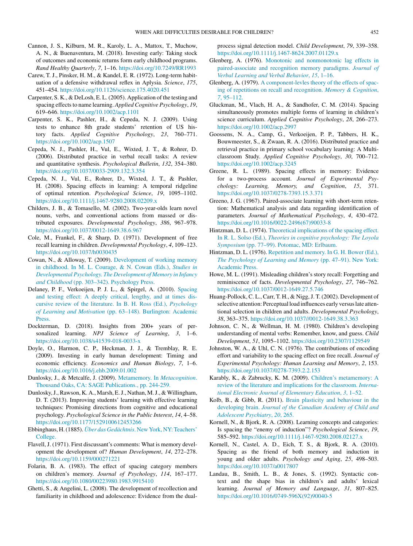- <span id="page-5-0"></span>Cannon, J. S., Kilburn, M. R., Karoly, L. A., Mattox, T., Muchow, A. N., & Buenaventura, M. (2018). Investing early: Taking stock of outcomes and economic returns form early childhood programs. *Rand Healthy Quarterly*, *7*, 1–16. <https://doi.org/10.7249/RR1993>
- Carew, T. J., Pinsker, H. M., & Kandel, E. R. (1972). Long-term habituation of a defensive withdrawal reflex in Aplysia. *Science*, *175*, 451–454. <https://doi.org/10.1126/science.175.4020.451>
- Carpenter, S. K., & DeLosh, E. L. (2005). Application of the testing and spacing effects to name learning. *Applied Cognitive Psychology*, 19, 619–646. <https://doi.org/10.1002/acp.1101>
- Carpenter, S. K., Pashler, H., & Cepeda, N. J. (2009). Using tests to enhance 8th grade students' retention of US history facts. *Applied Cognitive Psychology*, *23*, 760–771. <https://doi.org/10.1002/acp.1507>
- Cepeda, N. J., Pashler, H., Vul, E., Wixted, J. T., & Rohrer, D. (2006). Distributed practice in verbal recall tasks: A review and quantitative synthesis. *Psychological Bulletin*, *132*, 354–380. <https://doi.org/10.1037/0033-2909.132.3.354>
- Cepeda, N. J., Vul, E., Rohrer, D., Wixted, J. T., & Pashler, H. (2008). Spacing effects in learning: A temporal ridgeline of optimal retention. *Psychological Science*, *19*, 1095–1102. <https://doi.org/10.1111/j.1467-9280.2008.02209.x>
- Childers, J. B., & Tomasello, M. (2002). Two-year-olds learn novel nouns, verbs, and conventional actions from massed or distributed exposures. *Developmental Psychology*, *386*, 967–978. <https://doi.org/10.1037/0012-1649.38.6.967>
- Cole, M., Frankel, F., & Sharp, D. (1971). Development of free recall learning in children. *Developmental Psychology*, *4*, 109–123. <https://doi.org/10.1037/h0030435>
- Cowan, N., & Alloway, T. (2009). [Development](http://refhub.elsevier.com/S2211-3681(20)30060-7/sbref0125) [of](http://refhub.elsevier.com/S2211-3681(20)30060-7/sbref0125) [working](http://refhub.elsevier.com/S2211-3681(20)30060-7/sbref0125) [memory](http://refhub.elsevier.com/S2211-3681(20)30060-7/sbref0125) [in](http://refhub.elsevier.com/S2211-3681(20)30060-7/sbref0125) [childhood.](http://refhub.elsevier.com/S2211-3681(20)30060-7/sbref0125) [In](http://refhub.elsevier.com/S2211-3681(20)30060-7/sbref0125) [M.](http://refhub.elsevier.com/S2211-3681(20)30060-7/sbref0125) [L.](http://refhub.elsevier.com/S2211-3681(20)30060-7/sbref0125) [Courage,](http://refhub.elsevier.com/S2211-3681(20)30060-7/sbref0125) [&](http://refhub.elsevier.com/S2211-3681(20)30060-7/sbref0125) [N.](http://refhub.elsevier.com/S2211-3681(20)30060-7/sbref0125) [Cowan](http://refhub.elsevier.com/S2211-3681(20)30060-7/sbref0125) [\(Eds.\),](http://refhub.elsevier.com/S2211-3681(20)30060-7/sbref0125) *[Studies](http://refhub.elsevier.com/S2211-3681(20)30060-7/sbref0125) [in](http://refhub.elsevier.com/S2211-3681(20)30060-7/sbref0125) [Developmental](http://refhub.elsevier.com/S2211-3681(20)30060-7/sbref0125) [Psychology.](http://refhub.elsevier.com/S2211-3681(20)30060-7/sbref0125) [The](http://refhub.elsevier.com/S2211-3681(20)30060-7/sbref0125) [Development](http://refhub.elsevier.com/S2211-3681(20)30060-7/sbref0125) [of](http://refhub.elsevier.com/S2211-3681(20)30060-7/sbref0125) [Memory](http://refhub.elsevier.com/S2211-3681(20)30060-7/sbref0125) [in](http://refhub.elsevier.com/S2211-3681(20)30060-7/sbref0125) [Infancy](http://refhub.elsevier.com/S2211-3681(20)30060-7/sbref0125) [and](http://refhub.elsevier.com/S2211-3681(20)30060-7/sbref0125) [Childhood](http://refhub.elsevier.com/S2211-3681(20)30060-7/sbref0125)* [\(pp.](http://refhub.elsevier.com/S2211-3681(20)30060-7/sbref0125) [303–342\).](http://refhub.elsevier.com/S2211-3681(20)30060-7/sbref0125) [Psychology](http://refhub.elsevier.com/S2211-3681(20)30060-7/sbref0125) [Press.](http://refhub.elsevier.com/S2211-3681(20)30060-7/sbref0125)
- Delaney, P. F., Verkoeijen, P. J. L., & Spirgel, A. (2010). [Spacing](http://refhub.elsevier.com/S2211-3681(20)30060-7/sbref0130) [and](http://refhub.elsevier.com/S2211-3681(20)30060-7/sbref0130) [testing](http://refhub.elsevier.com/S2211-3681(20)30060-7/sbref0130) [effect:](http://refhub.elsevier.com/S2211-3681(20)30060-7/sbref0130) [A](http://refhub.elsevier.com/S2211-3681(20)30060-7/sbref0130) [deeply](http://refhub.elsevier.com/S2211-3681(20)30060-7/sbref0130) [critical,](http://refhub.elsevier.com/S2211-3681(20)30060-7/sbref0130) [lengthy,](http://refhub.elsevier.com/S2211-3681(20)30060-7/sbref0130) [and](http://refhub.elsevier.com/S2211-3681(20)30060-7/sbref0130) [at](http://refhub.elsevier.com/S2211-3681(20)30060-7/sbref0130) [times](http://refhub.elsevier.com/S2211-3681(20)30060-7/sbref0130) [dis](http://refhub.elsevier.com/S2211-3681(20)30060-7/sbref0130)[cursive](http://refhub.elsevier.com/S2211-3681(20)30060-7/sbref0130) [review](http://refhub.elsevier.com/S2211-3681(20)30060-7/sbref0130) [of](http://refhub.elsevier.com/S2211-3681(20)30060-7/sbref0130) [the](http://refhub.elsevier.com/S2211-3681(20)30060-7/sbref0130) [literature.](http://refhub.elsevier.com/S2211-3681(20)30060-7/sbref0130) [In](http://refhub.elsevier.com/S2211-3681(20)30060-7/sbref0130) [B.](http://refhub.elsevier.com/S2211-3681(20)30060-7/sbref0130) [H.](http://refhub.elsevier.com/S2211-3681(20)30060-7/sbref0130) [Ross](http://refhub.elsevier.com/S2211-3681(20)30060-7/sbref0130) [\(Ed.\),](http://refhub.elsevier.com/S2211-3681(20)30060-7/sbref0130) *[Psychology](http://refhub.elsevier.com/S2211-3681(20)30060-7/sbref0130) [of](http://refhub.elsevier.com/S2211-3681(20)30060-7/sbref0130) [Learning](http://refhub.elsevier.com/S2211-3681(20)30060-7/sbref0130) [and](http://refhub.elsevier.com/S2211-3681(20)30060-7/sbref0130) [Motivation](http://refhub.elsevier.com/S2211-3681(20)30060-7/sbref0130)* [\(pp.](http://refhub.elsevier.com/S2211-3681(20)30060-7/sbref0130) [63](http://refhub.elsevier.com/S2211-3681(20)30060-7/sbref0130)–[148\).](http://refhub.elsevier.com/S2211-3681(20)30060-7/sbref0130) [Burlington:](http://refhub.elsevier.com/S2211-3681(20)30060-7/sbref0130) [Academic](http://refhub.elsevier.com/S2211-3681(20)30060-7/sbref0130) **Press**.
- Dockterman, D. (2018). Insights from 200+ years of personalized learning. *NPJ Science of Learning*, *3*, 1–6. <https://doi.org/10.1038/s41539-018-0033-x>
- Doyle, O., Harmon, C. P., Heckman, J. J., & Tremblay, R. E. (2009). Investing in early human development: Timing and economic efficiency. *Economics and Human Biology*, *7*, 1–6. <https://doi.org/10.1016/j.ehb.2009.01.002>
- Dunlosky, J., & Metcalfe, J. (2009). [Metamemory.](http://refhub.elsevier.com/S2211-3681(20)30060-7/sbref0145) [In](http://refhub.elsevier.com/S2211-3681(20)30060-7/sbref0145) *[Metacognition](http://refhub.elsevier.com/S2211-3681(20)30060-7/sbref0145)*[.](http://refhub.elsevier.com/S2211-3681(20)30060-7/sbref0145) [Thousand](http://refhub.elsevier.com/S2211-3681(20)30060-7/sbref0145) [Oaks,](http://refhub.elsevier.com/S2211-3681(20)30060-7/sbref0145) [CA:](http://refhub.elsevier.com/S2211-3681(20)30060-7/sbref0145) [SAGE](http://refhub.elsevier.com/S2211-3681(20)30060-7/sbref0145) [Publications.,](http://refhub.elsevier.com/S2211-3681(20)30060-7/sbref0145) [pp.](http://refhub.elsevier.com/S2211-3681(20)30060-7/sbref0145) [244-259.](http://refhub.elsevier.com/S2211-3681(20)30060-7/sbref0145)
- Dunlosky,J.,Rawson, K. A., Marsh, E.J., Nathan, M.J., & Willingham, D. T. (2013). Improving students' learning with effective learning techniques: Promising directions from cognitive and educational psychology. *Psychological Science in the Public Interest*, *14*, 4–58. <https://doi.org/10.1177/1529100612453266>
- Ebbinghaus, H.(1885). *[Über](http://refhub.elsevier.com/S2211-3681(20)30060-7/sbref0155) [das](http://refhub.elsevier.com/S2211-3681(20)30060-7/sbref0155) [Gedächtnis](http://refhub.elsevier.com/S2211-3681(20)30060-7/sbref0155)*[.](http://refhub.elsevier.com/S2211-3681(20)30060-7/sbref0155) [New](http://refhub.elsevier.com/S2211-3681(20)30060-7/sbref0155) [York,](http://refhub.elsevier.com/S2211-3681(20)30060-7/sbref0155) [NY:Teachers'](http://refhub.elsevier.com/S2211-3681(20)30060-7/sbref0155) [College.](http://refhub.elsevier.com/S2211-3681(20)30060-7/sbref0155)
- Flavell, J. (1971). First discussant's comments: What is memory development the development of? *Human Development*, *14*, 272–278. <https://doi.org/10.1159/000271221>
- Folarin, B. A. (1983). The effect of spacing category members on children's memory. *Journal of Psychology*, *114*, 167–177. <https://doi.org/10.1080/00223980.1983.9915410>
- Ghetti, S., & Angelini, L. (2008). The development of recollection and familiarity in childhood and adolescence: Evidence from the dual-

process signal detection model. *Child Development*, *79*, 339–358. <https://doi.org/10.1111/j.1467-8624.2007.01129.x>

- Glenberg, A. (1976). [Monotonic](http://refhub.elsevier.com/S2211-3681(20)30060-7/sbref0175) [and](http://refhub.elsevier.com/S2211-3681(20)30060-7/sbref0175) [nonmonotonic](http://refhub.elsevier.com/S2211-3681(20)30060-7/sbref0175) [lag](http://refhub.elsevier.com/S2211-3681(20)30060-7/sbref0175) [effects](http://refhub.elsevier.com/S2211-3681(20)30060-7/sbref0175) [in](http://refhub.elsevier.com/S2211-3681(20)30060-7/sbref0175) [paired-associate](http://refhub.elsevier.com/S2211-3681(20)30060-7/sbref0175) [and](http://refhub.elsevier.com/S2211-3681(20)30060-7/sbref0175) [recognition](http://refhub.elsevier.com/S2211-3681(20)30060-7/sbref0175) [memory](http://refhub.elsevier.com/S2211-3681(20)30060-7/sbref0175) [paradigms.](http://refhub.elsevier.com/S2211-3681(20)30060-7/sbref0175) *[Journal](http://refhub.elsevier.com/S2211-3681(20)30060-7/sbref0175) [of](http://refhub.elsevier.com/S2211-3681(20)30060-7/sbref0175) [Verbal](http://refhub.elsevier.com/S2211-3681(20)30060-7/sbref0175) [Learning](http://refhub.elsevier.com/S2211-3681(20)30060-7/sbref0175) [and](http://refhub.elsevier.com/S2211-3681(20)30060-7/sbref0175) [Verbal](http://refhub.elsevier.com/S2211-3681(20)30060-7/sbref0175) [Behavior](http://refhub.elsevier.com/S2211-3681(20)30060-7/sbref0175)*[,](http://refhub.elsevier.com/S2211-3681(20)30060-7/sbref0175) *[15](http://refhub.elsevier.com/S2211-3681(20)30060-7/sbref0175)*[,](http://refhub.elsevier.com/S2211-3681(20)30060-7/sbref0175) [1–16.](http://refhub.elsevier.com/S2211-3681(20)30060-7/sbref0175)
- Glenberg, A. (1979). [A](http://refhub.elsevier.com/S2211-3681(20)30060-7/sbref0180) [component-levles](http://refhub.elsevier.com/S2211-3681(20)30060-7/sbref0180) [theory](http://refhub.elsevier.com/S2211-3681(20)30060-7/sbref0180) [of](http://refhub.elsevier.com/S2211-3681(20)30060-7/sbref0180) [the](http://refhub.elsevier.com/S2211-3681(20)30060-7/sbref0180) [effects](http://refhub.elsevier.com/S2211-3681(20)30060-7/sbref0180) [of](http://refhub.elsevier.com/S2211-3681(20)30060-7/sbref0180) [spac](http://refhub.elsevier.com/S2211-3681(20)30060-7/sbref0180)[ing](http://refhub.elsevier.com/S2211-3681(20)30060-7/sbref0180) [of](http://refhub.elsevier.com/S2211-3681(20)30060-7/sbref0180) [repetitions](http://refhub.elsevier.com/S2211-3681(20)30060-7/sbref0180) [on](http://refhub.elsevier.com/S2211-3681(20)30060-7/sbref0180) [recall](http://refhub.elsevier.com/S2211-3681(20)30060-7/sbref0180) [and](http://refhub.elsevier.com/S2211-3681(20)30060-7/sbref0180) [recognition.](http://refhub.elsevier.com/S2211-3681(20)30060-7/sbref0180) *[Memory](http://refhub.elsevier.com/S2211-3681(20)30060-7/sbref0180) [&](http://refhub.elsevier.com/S2211-3681(20)30060-7/sbref0180) [Cognition](http://refhub.elsevier.com/S2211-3681(20)30060-7/sbref0180)*[,](http://refhub.elsevier.com/S2211-3681(20)30060-7/sbref0180) *[7](http://refhub.elsevier.com/S2211-3681(20)30060-7/sbref0180)*[,](http://refhub.elsevier.com/S2211-3681(20)30060-7/sbref0180) [95–112.](http://refhub.elsevier.com/S2211-3681(20)30060-7/sbref0180)
- Gluckman, M., Vlach, H. A., & Sandhofer, C. M. (2014). Spacing simultaneously promotes multiple forms of learning in children's science curriculum. *Applied Cognitive Psychology*, *28*, 266–273. <https://doi.org/10.1002/acp.2997>
- Goossens, N. A., Camp, G., Verkoeijen, P. P., Tabbers, H. K., Bouwmeester, S., & Zwaan, R. A. (2016). Distributed practice and retrieval practice in primary school vocabulary learning: A Multiclassroom Study. *Applied Cognitive Psychology*, *30*, 700–712. <https://doi.org/10.1002/acp.3245>
- Greene, R. L. (1989). Spacing effects in memory: Evidence for a two-process account. *Journal of Experimental Psychology: Learning, Memory, and Cognition*, *15*, 371. <https://doi.org/10.1037/0278-7393.15.3.371>
- Greeno, J. G. (1967). Paired-associate learning with short-term retention: Mathematical analysis and data regarding identification of parameters. *Journal of Mathematical Psychology*, *4*, 430–472. [https://doi.org/10.1016/0022-2496\(67\)90033-8](https://doi.org/10.1016/0022-2496(67)90033-8)
- Hintzman, D. L. (1974). [Theoretical](http://refhub.elsevier.com/S2211-3681(20)30060-7/sbref0205) [implications](http://refhub.elsevier.com/S2211-3681(20)30060-7/sbref0205) [of](http://refhub.elsevier.com/S2211-3681(20)30060-7/sbref0205) [the](http://refhub.elsevier.com/S2211-3681(20)30060-7/sbref0205) [spacing](http://refhub.elsevier.com/S2211-3681(20)30060-7/sbref0205) [effect.](http://refhub.elsevier.com/S2211-3681(20)30060-7/sbref0205) [In](http://refhub.elsevier.com/S2211-3681(20)30060-7/sbref0205) [R.](http://refhub.elsevier.com/S2211-3681(20)30060-7/sbref0205) [L.](http://refhub.elsevier.com/S2211-3681(20)30060-7/sbref0205) [Solso](http://refhub.elsevier.com/S2211-3681(20)30060-7/sbref0205) [\(Ed.\),](http://refhub.elsevier.com/S2211-3681(20)30060-7/sbref0205) *[Theories](http://refhub.elsevier.com/S2211-3681(20)30060-7/sbref0205) [in](http://refhub.elsevier.com/S2211-3681(20)30060-7/sbref0205) [cognitive](http://refhub.elsevier.com/S2211-3681(20)30060-7/sbref0205) [psychology:](http://refhub.elsevier.com/S2211-3681(20)30060-7/sbref0205) [The](http://refhub.elsevier.com/S2211-3681(20)30060-7/sbref0205) [Loyola](http://refhub.elsevier.com/S2211-3681(20)30060-7/sbref0205) [Symposium](http://refhub.elsevier.com/S2211-3681(20)30060-7/sbref0205)* [\(pp.](http://refhub.elsevier.com/S2211-3681(20)30060-7/sbref0205) [77–99\).](http://refhub.elsevier.com/S2211-3681(20)30060-7/sbref0205) [Potomac,](http://refhub.elsevier.com/S2211-3681(20)30060-7/sbref0205) [MD:](http://refhub.elsevier.com/S2211-3681(20)30060-7/sbref0205) [Erlbaum.](http://refhub.elsevier.com/S2211-3681(20)30060-7/sbref0205)
- Hintzman, D. L. (1976). [Repetition](http://refhub.elsevier.com/S2211-3681(20)30060-7/sbref0210) [and](http://refhub.elsevier.com/S2211-3681(20)30060-7/sbref0210) [memory.](http://refhub.elsevier.com/S2211-3681(20)30060-7/sbref0210) [In](http://refhub.elsevier.com/S2211-3681(20)30060-7/sbref0210) [G.](http://refhub.elsevier.com/S2211-3681(20)30060-7/sbref0210) [H.](http://refhub.elsevier.com/S2211-3681(20)30060-7/sbref0210) [Bower](http://refhub.elsevier.com/S2211-3681(20)30060-7/sbref0210) [\(Ed.\),](http://refhub.elsevier.com/S2211-3681(20)30060-7/sbref0210) *[The](http://refhub.elsevier.com/S2211-3681(20)30060-7/sbref0210) [Psychology](http://refhub.elsevier.com/S2211-3681(20)30060-7/sbref0210) [of](http://refhub.elsevier.com/S2211-3681(20)30060-7/sbref0210) [Learning](http://refhub.elsevier.com/S2211-3681(20)30060-7/sbref0210) [and](http://refhub.elsevier.com/S2211-3681(20)30060-7/sbref0210) [Memory](http://refhub.elsevier.com/S2211-3681(20)30060-7/sbref0210)* [\(pp.](http://refhub.elsevier.com/S2211-3681(20)30060-7/sbref0210) [47–91\).](http://refhub.elsevier.com/S2211-3681(20)30060-7/sbref0210) [New](http://refhub.elsevier.com/S2211-3681(20)30060-7/sbref0210) [York:](http://refhub.elsevier.com/S2211-3681(20)30060-7/sbref0210) [Academic](http://refhub.elsevier.com/S2211-3681(20)30060-7/sbref0210) [Press.](http://refhub.elsevier.com/S2211-3681(20)30060-7/sbref0210)
- Howe, M. L. (1991). Misleading children's story recall: Forgetting and reminiscence of facts. *Developmental Psychology*, *27*, 746–762. <https://doi.org/10.1037/0012-1649.27.5.746>
- Huang-Pollock, C. L., Carr, T. H., & Nigg, J. T. (2002). Development of selective attention: Perceptual load influences early versuslate attentional selection in children and adults. *Developmental Psychology*, *38*, 363–375. <https://doi.org/10.1037//0012-1649.38.3.363>
- Johnson, C. N., & Wellman, H. M. (1980). Children's developing understanding of mental verbs: Remember, know, and guess. *Child Development*, *51*, 1095–1102. <https://doi.org/10.2307/1129549>
- Johnston, W. A., & Uhl, C. N. (1976). The contributions of encoding effort and variability to the spacing effect on free recall. *Journal of Experimental Psychology: Human Learning and Memory*, *2*, 153. <https://doi.org/10.1037/0278-7393.2.2.153>
- Karably, K., & Zabrucky, K. M. (2009). [Children's](http://refhub.elsevier.com/S2211-3681(20)30060-7/sbref0235) [metamemory:](http://refhub.elsevier.com/S2211-3681(20)30060-7/sbref0235) [A](http://refhub.elsevier.com/S2211-3681(20)30060-7/sbref0235) [review](http://refhub.elsevier.com/S2211-3681(20)30060-7/sbref0235) [of](http://refhub.elsevier.com/S2211-3681(20)30060-7/sbref0235) [the](http://refhub.elsevier.com/S2211-3681(20)30060-7/sbref0235) [literature](http://refhub.elsevier.com/S2211-3681(20)30060-7/sbref0235) [and](http://refhub.elsevier.com/S2211-3681(20)30060-7/sbref0235) [implications](http://refhub.elsevier.com/S2211-3681(20)30060-7/sbref0235) [for](http://refhub.elsevier.com/S2211-3681(20)30060-7/sbref0235) [the](http://refhub.elsevier.com/S2211-3681(20)30060-7/sbref0235) [classroom.](http://refhub.elsevier.com/S2211-3681(20)30060-7/sbref0235) *[Interna](http://refhub.elsevier.com/S2211-3681(20)30060-7/sbref0235)[tional](http://refhub.elsevier.com/S2211-3681(20)30060-7/sbref0235) [Electronic](http://refhub.elsevier.com/S2211-3681(20)30060-7/sbref0235) [Journal](http://refhub.elsevier.com/S2211-3681(20)30060-7/sbref0235) [of](http://refhub.elsevier.com/S2211-3681(20)30060-7/sbref0235) [Elementary](http://refhub.elsevier.com/S2211-3681(20)30060-7/sbref0235) [Education](http://refhub.elsevier.com/S2211-3681(20)30060-7/sbref0235)*[,](http://refhub.elsevier.com/S2211-3681(20)30060-7/sbref0235) *[3](http://refhub.elsevier.com/S2211-3681(20)30060-7/sbref0235)*[,](http://refhub.elsevier.com/S2211-3681(20)30060-7/sbref0235) [1](http://refhub.elsevier.com/S2211-3681(20)30060-7/sbref0235)–[52.](http://refhub.elsevier.com/S2211-3681(20)30060-7/sbref0235)
- Kolb, B., & Gibb, R. (2011). [Brain](http://refhub.elsevier.com/S2211-3681(20)30060-7/sbref0240) [plasticity](http://refhub.elsevier.com/S2211-3681(20)30060-7/sbref0240) [and](http://refhub.elsevier.com/S2211-3681(20)30060-7/sbref0240) [behaviour](http://refhub.elsevier.com/S2211-3681(20)30060-7/sbref0240) [in](http://refhub.elsevier.com/S2211-3681(20)30060-7/sbref0240) [the](http://refhub.elsevier.com/S2211-3681(20)30060-7/sbref0240) [developing](http://refhub.elsevier.com/S2211-3681(20)30060-7/sbref0240) [brain.](http://refhub.elsevier.com/S2211-3681(20)30060-7/sbref0240) *[Journal](http://refhub.elsevier.com/S2211-3681(20)30060-7/sbref0240) [of](http://refhub.elsevier.com/S2211-3681(20)30060-7/sbref0240) [the](http://refhub.elsevier.com/S2211-3681(20)30060-7/sbref0240) [Canadian](http://refhub.elsevier.com/S2211-3681(20)30060-7/sbref0240) [Academy](http://refhub.elsevier.com/S2211-3681(20)30060-7/sbref0240) [of](http://refhub.elsevier.com/S2211-3681(20)30060-7/sbref0240) [Child](http://refhub.elsevier.com/S2211-3681(20)30060-7/sbref0240) [and](http://refhub.elsevier.com/S2211-3681(20)30060-7/sbref0240) [Adolescent](http://refhub.elsevier.com/S2211-3681(20)30060-7/sbref0240) [Psychiatry](http://refhub.elsevier.com/S2211-3681(20)30060-7/sbref0240)*[,](http://refhub.elsevier.com/S2211-3681(20)30060-7/sbref0240) *[20](http://refhub.elsevier.com/S2211-3681(20)30060-7/sbref0240)*[,](http://refhub.elsevier.com/S2211-3681(20)30060-7/sbref0240) [265.](http://refhub.elsevier.com/S2211-3681(20)30060-7/sbref0240)
- Kornell, N., & Bjork, R. A. (2008). Learning concepts and categories: Is spacing the "enemy of induction"? *Psychological Science*, *19*, 585–592. <https://doi.org/10.1111/j.1467-9280.2008.02127.x>
- Kornell, N., Castel, A. D., Eich, T. S., & Bjork, R. A. (2010). Spacing as the friend of both memory and induction in young and older adults. *Psychology and Aging*, *25*, 498–503. <https://doi.org/10.1037/a0017807>
- Landau, B., Smith, L. B., & Jones, S. (1992). Syntactic context and the shape bias in children's and adults' lexical learning. *Journal of Memory and Language*, *31*, 807–825. [https://doi.org/10.1016/0749-596X\(92\)90040-5](https://doi.org/10.1016/0749-596X(92)90040-5)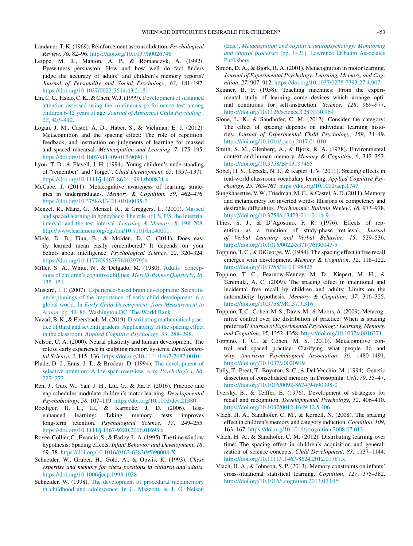- <span id="page-6-0"></span>Landauer, T. K. (1969). Reinforcement as consolidation. *Psychological Review*, *76*, 82–96. <https://doi.org/10.1037/h0026746>
- Leippe, M. R., Manion, A. P., & Romanczyk, A. (1992). Eyewitness persuasion: How and how well do fact finders judge the accuracy of adults' and children's memory reports? *Journal of Personality and Social Psychology*, *63*, 181–197. <https://doi.org/10.1037/0022-3514.63.2.181>
- Lin, C.C., Hsiao, C.K., & Chen, W.J. (1999). [Development](http://refhub.elsevier.com/S2211-3681(20)30060-7/sbref0270) of sustained [attention](http://refhub.elsevier.com/S2211-3681(20)30060-7/sbref0270) [assessed](http://refhub.elsevier.com/S2211-3681(20)30060-7/sbref0270) [using](http://refhub.elsevier.com/S2211-3681(20)30060-7/sbref0270) [the](http://refhub.elsevier.com/S2211-3681(20)30060-7/sbref0270) [continuous](http://refhub.elsevier.com/S2211-3681(20)30060-7/sbref0270) [performance](http://refhub.elsevier.com/S2211-3681(20)30060-7/sbref0270) [test](http://refhub.elsevier.com/S2211-3681(20)30060-7/sbref0270) [among](http://refhub.elsevier.com/S2211-3681(20)30060-7/sbref0270) [children](http://refhub.elsevier.com/S2211-3681(20)30060-7/sbref0270) [6-15](http://refhub.elsevier.com/S2211-3681(20)30060-7/sbref0270) [years](http://refhub.elsevier.com/S2211-3681(20)30060-7/sbref0270) [of](http://refhub.elsevier.com/S2211-3681(20)30060-7/sbref0270) [age.](http://refhub.elsevier.com/S2211-3681(20)30060-7/sbref0270) *[Journal](http://refhub.elsevier.com/S2211-3681(20)30060-7/sbref0270) [of](http://refhub.elsevier.com/S2211-3681(20)30060-7/sbref0270) [Abnormal](http://refhub.elsevier.com/S2211-3681(20)30060-7/sbref0270) [Child](http://refhub.elsevier.com/S2211-3681(20)30060-7/sbref0270) [Psychology](http://refhub.elsevier.com/S2211-3681(20)30060-7/sbref0270)*[,](http://refhub.elsevier.com/S2211-3681(20)30060-7/sbref0270) *[27](http://refhub.elsevier.com/S2211-3681(20)30060-7/sbref0270)*[,](http://refhub.elsevier.com/S2211-3681(20)30060-7/sbref0270) [403–412.](http://refhub.elsevier.com/S2211-3681(20)30060-7/sbref0270)
- Logan, J. M., Castel, A. D., Haber, S., & Viehman, E. J. (2012). Metacognition and the spacing effect: The role of repetition, feedback, and instruction on judgments of learning for massed and spaced rehearsal. *Metacognition and Learning*, *7*, 175–195. <https://doi.org/10.1007/s11409-012-9090-3>
- Lyon, T. D., & Flavell, J. H. (1994). Young children's understanding of "remember" and "forget". *Child Development*, *65*, 1357–1371. <https://doi.org/10.1111/j.1467-8624.1994.tb00821.x>
- McCabe, J. (2011). Metacognitive awareness of learning strategies in undergraduates. *Memory & Cognition*, *39*, 462–476. <https://doi.org/10.3758/s13421-010-0035-2>
- Menzel, R., Manz, G., Menzel, R., & Greggers, U. (2001). [Massed](http://refhub.elsevier.com/S2211-3681(20)30060-7/sbref0290) [and](http://refhub.elsevier.com/S2211-3681(20)30060-7/sbref0290) [spaced](http://refhub.elsevier.com/S2211-3681(20)30060-7/sbref0290) [learning](http://refhub.elsevier.com/S2211-3681(20)30060-7/sbref0290) [in](http://refhub.elsevier.com/S2211-3681(20)30060-7/sbref0290) [honeybees:](http://refhub.elsevier.com/S2211-3681(20)30060-7/sbref0290) [The](http://refhub.elsevier.com/S2211-3681(20)30060-7/sbref0290) [role](http://refhub.elsevier.com/S2211-3681(20)30060-7/sbref0290) [of](http://refhub.elsevier.com/S2211-3681(20)30060-7/sbref0290) [CS,](http://refhub.elsevier.com/S2211-3681(20)30060-7/sbref0290) [US,](http://refhub.elsevier.com/S2211-3681(20)30060-7/sbref0290) [the](http://refhub.elsevier.com/S2211-3681(20)30060-7/sbref0290) [intertrial](http://refhub.elsevier.com/S2211-3681(20)30060-7/sbref0290) [interval,](http://refhub.elsevier.com/S2211-3681(20)30060-7/sbref0290) [and](http://refhub.elsevier.com/S2211-3681(20)30060-7/sbref0290) [the](http://refhub.elsevier.com/S2211-3681(20)30060-7/sbref0290) [test](http://refhub.elsevier.com/S2211-3681(20)30060-7/sbref0290) [interval.](http://refhub.elsevier.com/S2211-3681(20)30060-7/sbref0290) *[Learning](http://refhub.elsevier.com/S2211-3681(20)30060-7/sbref0290) [&](http://refhub.elsevier.com/S2211-3681(20)30060-7/sbref0290) [Memory](http://refhub.elsevier.com/S2211-3681(20)30060-7/sbref0290)*[,](http://refhub.elsevier.com/S2211-3681(20)30060-7/sbref0290) *[8](http://refhub.elsevier.com/S2211-3681(20)30060-7/sbref0290)*[,](http://refhub.elsevier.com/S2211-3681(20)30060-7/sbref0290) [198–208,](http://refhub.elsevier.com/S2211-3681(20)30060-7/sbref0290) [http://www.learnmem.org/cgi/doi/10.1101/lm.40001.](http://refhub.elsevier.com/S2211-3681(20)30060-7/sbref0290)
- Miele, D. B., Finn, B., & Molden, D. C. (2011). Does easily learned mean easily remembered? It depends on your beliefs about intelligence. *Psychological Science*, *22*, 320–324. <https://doi.org/10.1177/0956797610397954>
- Miller, S. A., White, N., & Delgado, M. (1980). [Adults'](http://refhub.elsevier.com/S2211-3681(20)30060-7/sbref0300) [concep](http://refhub.elsevier.com/S2211-3681(20)30060-7/sbref0300)[tions](http://refhub.elsevier.com/S2211-3681(20)30060-7/sbref0300) [of](http://refhub.elsevier.com/S2211-3681(20)30060-7/sbref0300) [children's](http://refhub.elsevier.com/S2211-3681(20)30060-7/sbref0300) [cognitive](http://refhub.elsevier.com/S2211-3681(20)30060-7/sbref0300) [abilities.](http://refhub.elsevier.com/S2211-3681(20)30060-7/sbref0300) *[Merrill-Palmer](http://refhub.elsevier.com/S2211-3681(20)30060-7/sbref0300) [Quarterly](http://refhub.elsevier.com/S2211-3681(20)30060-7/sbref0300)*[,](http://refhub.elsevier.com/S2211-3681(20)30060-7/sbref0300) *[26](http://refhub.elsevier.com/S2211-3681(20)30060-7/sbref0300)*[,](http://refhub.elsevier.com/S2211-3681(20)30060-7/sbref0300) [135–151.](http://refhub.elsevier.com/S2211-3681(20)30060-7/sbref0300)
- Mustard, J. F. (2007). [Experience-based](http://refhub.elsevier.com/S2211-3681(20)30060-7/sbref0305) [brain](http://refhub.elsevier.com/S2211-3681(20)30060-7/sbref0305) [development:](http://refhub.elsevier.com/S2211-3681(20)30060-7/sbref0305) [Scientific](http://refhub.elsevier.com/S2211-3681(20)30060-7/sbref0305) [underpinnings](http://refhub.elsevier.com/S2211-3681(20)30060-7/sbref0305) [of](http://refhub.elsevier.com/S2211-3681(20)30060-7/sbref0305) [the](http://refhub.elsevier.com/S2211-3681(20)30060-7/sbref0305) [importance](http://refhub.elsevier.com/S2211-3681(20)30060-7/sbref0305) [of](http://refhub.elsevier.com/S2211-3681(20)30060-7/sbref0305) [early](http://refhub.elsevier.com/S2211-3681(20)30060-7/sbref0305) [child](http://refhub.elsevier.com/S2211-3681(20)30060-7/sbref0305) [development](http://refhub.elsevier.com/S2211-3681(20)30060-7/sbref0305) [in](http://refhub.elsevier.com/S2211-3681(20)30060-7/sbref0305) [a](http://refhub.elsevier.com/S2211-3681(20)30060-7/sbref0305) [global](http://refhub.elsevier.com/S2211-3681(20)30060-7/sbref0305) [world.](http://refhub.elsevier.com/S2211-3681(20)30060-7/sbref0305) [In](http://refhub.elsevier.com/S2211-3681(20)30060-7/sbref0305) *[Early](http://refhub.elsevier.com/S2211-3681(20)30060-7/sbref0305) [Child](http://refhub.elsevier.com/S2211-3681(20)30060-7/sbref0305) [Development:](http://refhub.elsevier.com/S2211-3681(20)30060-7/sbref0305) [from](http://refhub.elsevier.com/S2211-3681(20)30060-7/sbref0305) [Measurement](http://refhub.elsevier.com/S2211-3681(20)30060-7/sbref0305) [to](http://refhub.elsevier.com/S2211-3681(20)30060-7/sbref0305) [Action](http://refhub.elsevier.com/S2211-3681(20)30060-7/sbref0305)*[.](http://refhub.elsevier.com/S2211-3681(20)30060-7/sbref0305) [pp.](http://refhub.elsevier.com/S2211-3681(20)30060-7/sbref0305) [43](http://refhub.elsevier.com/S2211-3681(20)30060-7/sbref0305)–[86.](http://refhub.elsevier.com/S2211-3681(20)30060-7/sbref0305) [Washington](http://refhub.elsevier.com/S2211-3681(20)30060-7/sbref0305) [DC:](http://refhub.elsevier.com/S2211-3681(20)30060-7/sbref0305) [The](http://refhub.elsevier.com/S2211-3681(20)30060-7/sbref0305) [World](http://refhub.elsevier.com/S2211-3681(20)30060-7/sbref0305) [Bank.](http://refhub.elsevier.com/S2211-3681(20)30060-7/sbref0305)
- Nazari,B. K., & Ebersbach, M.(2019). [Distributing](http://refhub.elsevier.com/S2211-3681(20)30060-7/sbref0310) [mathematical](http://refhub.elsevier.com/S2211-3681(20)30060-7/sbref0310) [prac](http://refhub.elsevier.com/S2211-3681(20)30060-7/sbref0310)[tice](http://refhub.elsevier.com/S2211-3681(20)30060-7/sbref0310) [of](http://refhub.elsevier.com/S2211-3681(20)30060-7/sbref0310) [third](http://refhub.elsevier.com/S2211-3681(20)30060-7/sbref0310) [and](http://refhub.elsevier.com/S2211-3681(20)30060-7/sbref0310) [seventh](http://refhub.elsevier.com/S2211-3681(20)30060-7/sbref0310) [graders:](http://refhub.elsevier.com/S2211-3681(20)30060-7/sbref0310) [Applicability](http://refhub.elsevier.com/S2211-3681(20)30060-7/sbref0310) [of](http://refhub.elsevier.com/S2211-3681(20)30060-7/sbref0310) [the](http://refhub.elsevier.com/S2211-3681(20)30060-7/sbref0310) [spacing](http://refhub.elsevier.com/S2211-3681(20)30060-7/sbref0310) [effect](http://refhub.elsevier.com/S2211-3681(20)30060-7/sbref0310) [in](http://refhub.elsevier.com/S2211-3681(20)30060-7/sbref0310) [the](http://refhub.elsevier.com/S2211-3681(20)30060-7/sbref0310) [classroom.](http://refhub.elsevier.com/S2211-3681(20)30060-7/sbref0310) *[Applied](http://refhub.elsevier.com/S2211-3681(20)30060-7/sbref0310) [Cognitive](http://refhub.elsevier.com/S2211-3681(20)30060-7/sbref0310) [Psychology](http://refhub.elsevier.com/S2211-3681(20)30060-7/sbref0310)*[,](http://refhub.elsevier.com/S2211-3681(20)30060-7/sbref0310) *[33](http://refhub.elsevier.com/S2211-3681(20)30060-7/sbref0310)*[,](http://refhub.elsevier.com/S2211-3681(20)30060-7/sbref0310) [288–298.](http://refhub.elsevier.com/S2211-3681(20)30060-7/sbref0310)
- Nelson, C. A. (2000). Neural plasticity and human development: The role of early experience in sculpting memory systems. *Developmental Science*, *3*, 115–136. <https://doi.org/10.1111/1467-7687.00104>
- Plude, D. J., Enns, J. T., & Brodeur, D. (1994). [The](http://refhub.elsevier.com/S2211-3681(20)30060-7/sbref0320) [development](http://refhub.elsevier.com/S2211-3681(20)30060-7/sbref0320) [of](http://refhub.elsevier.com/S2211-3681(20)30060-7/sbref0320) [selective](http://refhub.elsevier.com/S2211-3681(20)30060-7/sbref0320) [attention:](http://refhub.elsevier.com/S2211-3681(20)30060-7/sbref0320) [A](http://refhub.elsevier.com/S2211-3681(20)30060-7/sbref0320) [life-span](http://refhub.elsevier.com/S2211-3681(20)30060-7/sbref0320) [overview.](http://refhub.elsevier.com/S2211-3681(20)30060-7/sbref0320) *[Acta](http://refhub.elsevier.com/S2211-3681(20)30060-7/sbref0320) [Psychologica](http://refhub.elsevier.com/S2211-3681(20)30060-7/sbref0320)*[,](http://refhub.elsevier.com/S2211-3681(20)30060-7/sbref0320) *[86](http://refhub.elsevier.com/S2211-3681(20)30060-7/sbref0320)*[,](http://refhub.elsevier.com/S2211-3681(20)30060-7/sbref0320) [227](http://refhub.elsevier.com/S2211-3681(20)30060-7/sbref0320)–[272.](http://refhub.elsevier.com/S2211-3681(20)30060-7/sbref0320)
- Ren, J., Guo, W., Yan, J. H., Liu, G., & Jia, F. (2016). Practice and nap schedules modulate children's motor learning. *Developmental Psychobiology*, *58*, 107–119. <https://doi.org/10.1002/dev.21380>
- Roediger, H. L., III, & Karpicke, J. D. (2006). Testenhanced learning: Taking memory tests improves long-term retention. *Psychological Science*, *17*, 249–255. <https://doi.org/10.1111/j.1467-9280.2006.01693.x>
- Rovee-Collier,C.,Evancio, S.,&Earley,L. A.(1995).The time window hypothesis: Spacing effects. *Infant Behavior and Development*, *18*, 69–78. [https://doi.org/10.1016/0163-6383\(95\)90008-X](https://doi.org/10.1016/0163-6383(95)90008-X)
- Schneider, W., Gruber, H., Gold, A., & Opwis, K. (1993). *Chess expertise and memory for chess positions in children and adults*. <https://doi.org/10.1006/jecp.1993.1038>
- Schneider, W. (1998). [The](http://refhub.elsevier.com/S2211-3681(20)30060-7/sbref0345) [development](http://refhub.elsevier.com/S2211-3681(20)30060-7/sbref0345) [of](http://refhub.elsevier.com/S2211-3681(20)30060-7/sbref0345) [procedural](http://refhub.elsevier.com/S2211-3681(20)30060-7/sbref0345) [metamemory](http://refhub.elsevier.com/S2211-3681(20)30060-7/sbref0345) [in](http://refhub.elsevier.com/S2211-3681(20)30060-7/sbref0345) [childhood](http://refhub.elsevier.com/S2211-3681(20)30060-7/sbref0345) [and](http://refhub.elsevier.com/S2211-3681(20)30060-7/sbref0345) [adolescence.](http://refhub.elsevier.com/S2211-3681(20)30060-7/sbref0345) [In](http://refhub.elsevier.com/S2211-3681(20)30060-7/sbref0345) [G.](http://refhub.elsevier.com/S2211-3681(20)30060-7/sbref0345) [Mazzoni,](http://refhub.elsevier.com/S2211-3681(20)30060-7/sbref0345) [&](http://refhub.elsevier.com/S2211-3681(20)30060-7/sbref0345) [T.](http://refhub.elsevier.com/S2211-3681(20)30060-7/sbref0345) [O.](http://refhub.elsevier.com/S2211-3681(20)30060-7/sbref0345) [Nelson](http://refhub.elsevier.com/S2211-3681(20)30060-7/sbref0345)

[\(Eds.\),](http://refhub.elsevier.com/S2211-3681(20)30060-7/sbref0345) *[Metacognition](http://refhub.elsevier.com/S2211-3681(20)30060-7/sbref0345) [and](http://refhub.elsevier.com/S2211-3681(20)30060-7/sbref0345) [cognitive](http://refhub.elsevier.com/S2211-3681(20)30060-7/sbref0345) [neuropsychology:](http://refhub.elsevier.com/S2211-3681(20)30060-7/sbref0345) [Monitoring](http://refhub.elsevier.com/S2211-3681(20)30060-7/sbref0345) [and](http://refhub.elsevier.com/S2211-3681(20)30060-7/sbref0345) [control](http://refhub.elsevier.com/S2211-3681(20)30060-7/sbref0345) [processes](http://refhub.elsevier.com/S2211-3681(20)30060-7/sbref0345)* [\(pp.](http://refhub.elsevier.com/S2211-3681(20)30060-7/sbref0345) [1–21\).](http://refhub.elsevier.com/S2211-3681(20)30060-7/sbref0345) [Lawrence](http://refhub.elsevier.com/S2211-3681(20)30060-7/sbref0345) [Erlbaum](http://refhub.elsevier.com/S2211-3681(20)30060-7/sbref0345) [Associates](http://refhub.elsevier.com/S2211-3681(20)30060-7/sbref0345) [Publishers.](http://refhub.elsevier.com/S2211-3681(20)30060-7/sbref0345)

- Simon, D. A., & Bjork, R. A. (2001). Metacognition in motor learning. *Journal of Experimental Psychology: Learning, Memory, and Cognition*, *27*, 907–912. <https://doi.org/10.1037/0278-7393.27.4.907>
- Skinner, B. F. (1958). Teaching machines: From the experimental study of learning come devices which arrange optimal conditions for self-instruction. *Science*, *128*, 969–977. <https://doi.org/10.1126/science.128.3330.969>
- Slone, L. K., & Sandhofer, C. M. (2017). Consider the category: The effect of spacing depends on individual learning histories. *Journal of Experimental Child Psychology*, *159*, 34–49. <https://doi.org/10.1016/j.jecp.2017.01.010>
- Smith, S. M., Glenberg, A., & Bjork, R. A. (1978). Environmental context and human memory. *Memory & Cognition*, *6*, 342–353. <https://doi.org/10.3758/BF03197465>
- Sobel, H. S., Cepeda, N. J., & Kapler, I. V. (2011). Spacing effects in real-world classroom vocabulary learning. *Applied Cognitive Psychology*, *25*, 763–767. <https://doi.org/10.1002/acp.1747>
- Sungkhasettee, V.W., Friedman, M.C., & Castel, A.D. (2011). Memory and metamemory for inverted words: Illusions of competency and desirable difficulties. *Psychonomic Bulletin Review*, *18*, 973–978. <https://doi.org/10.3758/s13423-011-0114-9>
- Thios, S. J., & D'Agostino, P. R. (1976). Effects of repetition as a function of study-phase retrieval. *Journal of Verbal Learning and Verbal Behavior*, *15*, 529–536. [https://doi.org/10.1016/0022-5371\(76\)90047-5](https://doi.org/10.1016/0022-5371(76)90047-5)
- Toppino, T. C., & DiGeorge, W. (1984). The spacing effect in free recall emerges with development. *Memory & Cognition*, *12*, 118–122. <https://doi.org/10.3758/BF03198425>
- Toppino, T. C., Fearnow-Kenney, M. D., Kiepert, M. H., & Teremula, A. C. (2009). The spacing effect in intentional and incidental free recall by children and adults: Limits on the automaticity hypothesis. *Memory & Cognition*, *37*, 316–325. <https://doi.org/10.3758/MC.37.3.316>
- Toppino, T. C., Cohen, M. S., Davis, M., & Moors, A. (2009). Metacognitive control over the distribution of practice: When is spacing preferred? *Journal of Experimental Psychology: Learning, Memory, and Cognition*, *35*, 1352–1358. <https://doi.org/10.1037/a0016371>
- Toppino, T. C., & Cohen, M. S. (2010). Metacognitive control and spaced practice: Clarifying what people do and why. *American Psychological Association*, *36*, 1480–1491. <https://doi.org/10.1037/a0020949>
- Tully, T., Preat, T., Boynton, S. C., & Del Vecchio, M. (1994). Genetic dissection of consolidated memory in Drosophila. *Cell*, *79*, 35–47. [https://doi.org/10.1016/0092-8674\(94\)90398-0](https://doi.org/10.1016/0092-8674(94)90398-0)
- Tversky, B., & Teiffer, E. (1976). Development of strategies for recall and recognition. *Developmental Psychology*, *12*, 406–410. <https://doi.org/10.1037/0012-1649.12.5.406>
- Vlach, H. A., Sandhofer, C. M., & Kornell, N. (2008). The spacing effect in children's memory and category induction. *Cognition*, *109*, 163–167. <https://doi.org/10.1016/j.cognition.2008.07.013>
- Vlach, H. A., & Sandhofer, C. M. (2012). Distributing learning over time: The spacing effect in children's acquisition and generalization of science concepts. *Child Development*, *83*, 1137–1144. <https://doi.org/10.1111/j.1467-8624.2012.01781.x>
- Vlach, H. A., & Johnson, S. P. (2013). Memory constraints on infants' cross-situational statistical learning. *Cognition*, *127*, 375–382. <https://doi.org/10.1016/j.cognition.2013.02.015>